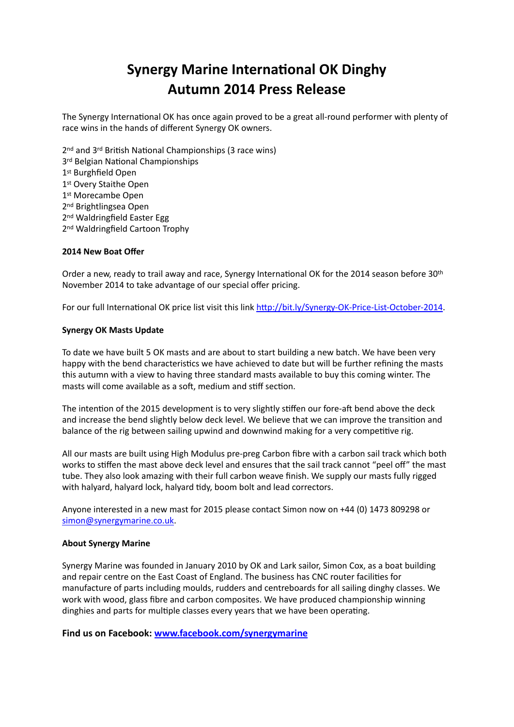## **Synergy Marine International OK Dinghy Autumn 2014 Press Release**

The Synergy International OK has once again proved to be a great all-round performer with plenty of race wins in the hands of different Synergy OK owners.

 $2<sup>nd</sup>$  and  $3<sup>rd</sup>$  British National Championships (3 race wins) 3<sup>rd</sup> Belgian National Championships 1st Burghfield Open 1st Overy Staithe Open 1<sup>st</sup> Morecambe Open 2nd Brightlingsea Open 2<sup>nd</sup> Waldringfield Easter Egg 2<sup>nd</sup> Waldringfield Cartoon Trophy

## **2014 New Boat Offer**

Order a new, ready to trail away and race, Synergy International OK for the 2014 season before 30<sup>th</sup> November 2014 to take advantage of our special offer pricing.

For our full International OK price list visit this link http://bit.ly/Synergy-OK-Price-List-October-2014.

## **Synergy OK Masts Update**

To date we have built 5 OK masts and are about to start building a new batch. We have been very happy with the bend characteristics we have achieved to date but will be further refining the masts this autumn with a view to having three standard masts available to buy this coming winter. The masts will come available as a soft, medium and stiff section.

The intention of the 2015 development is to very slightly stiffen our fore-aft bend above the deck and increase the bend slightly below deck level. We believe that we can improve the transition and balance of the rig between sailing upwind and downwind making for a very competitive rig.

All our masts are built using High Modulus pre-preg Carbon fibre with a carbon sail track which both works to stiffen the mast above deck level and ensures that the sail track cannot "peel off" the mast tube. They also look amazing with their full carbon weave finish. We supply our masts fully rigged with halyard, halyard lock, halyard tidy, boom bolt and lead correctors.

Anyone interested in a new mast for 2015 please contact Simon now on +44 (0) 1473 809298 or [simon@synergymarine.co.uk.](mailto:simon@synergymarine.co.uk)

## **About Synergy Marine**

Synergy Marine was founded in January 2010 by OK and Lark sailor, Simon Cox, as a boat building and repair centre on the East Coast of England. The business has CNC router facilities for manufacture of parts including moulds, rudders and centreboards for all sailing dinghy classes. We work with wood, glass fibre and carbon composites. We have produced championship winning dinghies and parts for multiple classes every years that we have been operating.

**Find us on Facebook: [www.facebook.com/synergymarine](http://www.facebook.com/synergymarine)**